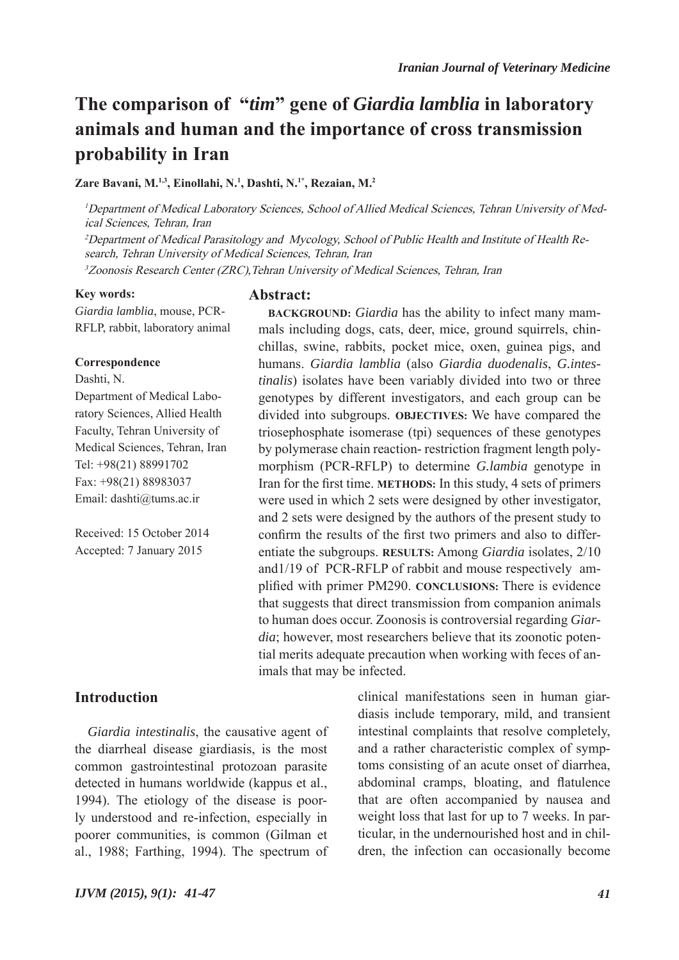# **The comparison of "***tim***" gene of** *Giardia lamblia* **in laboratory animals and human and the importance of cross transmission probability in Iran**

**Zare Bavani, M.1,3, Einollahi, N.1 , Dashti, N.1\*, Rezaian, M.2**

<sup>1</sup>Department of Medical Laboratory Sciences, School of Allied Medical Sciences, Tehran University of Medical Sciences, Tehran, Iran

2Department of Medical Parasitology and Mycology, School of Public Health and Institute of Health Research, Tehran University of Medical Sciences, Tehran, Iran <sup>3</sup>Zoonosis Research Center (ZRC), Tehran University of Medical Sciences, Tehran, Iran

#### **Key words:**

*Giardia lamblia*, mouse, PCR-

#### **Correspondence**

Dashti, N.

Department of Medical Laboratory Sciences, Allied Health Faculty, Tehran University of Medical Sciences, Tehran, Iran Tel: +98(21) 88991702 Fax: +98(21) 88983037 Email: dashti@tums.ac.ir

RFLP, rabbit, laboratory animal

Received: 15 October 2014 Accepted: 7 January 2015

## **Abstract:**

**BACKGROUND:** *Giardia* has the ability to infect many mammals including dogs, cats, deer, mice, ground squirrels, chinchillas, swine, rabbits, pocket mice, oxen, guinea pigs, and humans. *Giardia lamblia* (also *Giardia duodenalis*, *G.intestinalis*) isolates have been variably divided into two or three genotypes by different investigators, and each group can be divided into subgroups. **OBJECTIVES:** We have compared the triosephosphate isomerase (tpi) sequences of these genotypes by polymerase chain reaction- restriction fragment length polymorphism (PCR-RFLP) to determine *G.lambia* genotype in Iran for the first time. **METHODS:** In this study, 4 sets of primers were used in which 2 sets were designed by other investigator, and 2 sets were designed by the authors of the present study to confirm the results of the first two primers and also to differentiate the subgroups. **RESULTS:** Among *Giardia* isolates, 2/10 and1/19 of PCR-RFLP of rabbit and mouse respectively amplified with primer PM290. **CONCLUSIONS:** There is evidence that suggests that direct transmission from companion animals to human does occur. Zoonosis is controversial regarding *Giardia*; however, most researchers believe that its zoonotic potential merits adequate precaution when working with feces of animals that may be infected.

## **Introduction**

*Giardia intestinalis*, the causative agent of the diarrheal disease giardiasis, is the most common gastrointestinal protozoan parasite detected in humans worldwide (kappus et al., 1994). The etiology of the disease is poorly understood and re-infection, especially in poorer communities, is common (Gilman et al., 1988; Farthing, 1994). The spectrum of clinical manifestations seen in human giardiasis include temporary, mild, and transient intestinal complaints that resolve completely, and a rather characteristic complex of symptoms consisting of an acute onset of diarrhea, abdominal cramps, bloating, and flatulence that are often accompanied by nausea and weight loss that last for up to 7 weeks. In particular, in the undernourished host and in children, the infection can occasionally become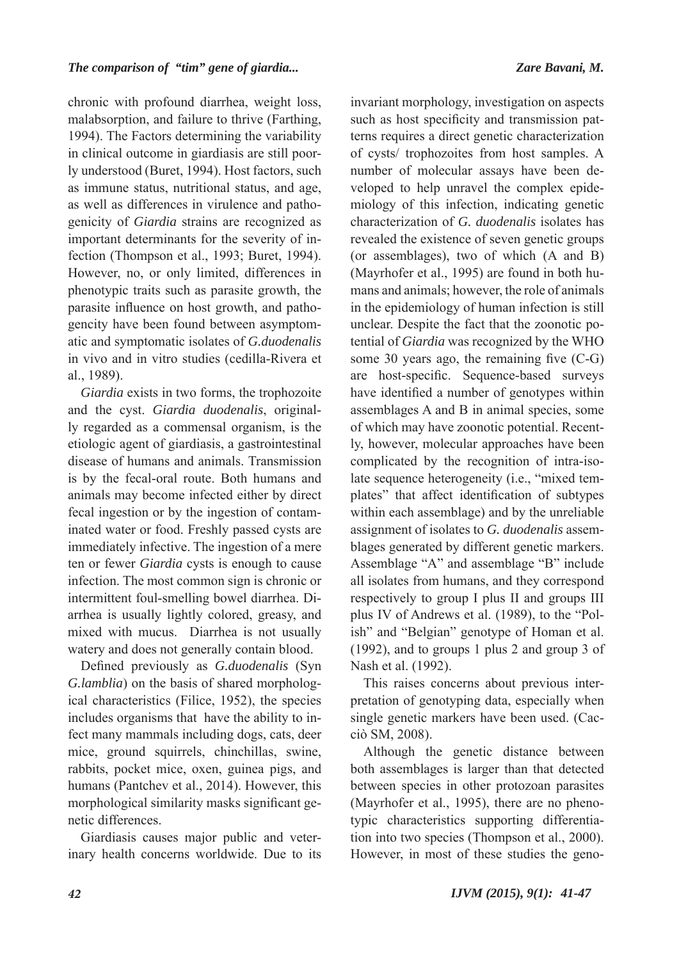chronic with profound diarrhea, weight loss, malabsorption, and failure to thrive (Farthing, 1994). The Factors determining the variability in clinical outcome in giardiasis are still poorly understood (Buret, 1994). Host factors, such as immune status, nutritional status, and age, as well as differences in virulence and pathogenicity of *Giardia* strains are recognized as important determinants for the severity of infection (Thompson et al., 1993; Buret, 1994). However, no, or only limited, differences in phenotypic traits such as parasite growth, the parasite influence on host growth, and pathogencity have been found between asymptomatic and symptomatic isolates of *G.duodenalis*  in vivo and in vitro studies (cedilla-Rivera et al., 1989).

*Giardia* exists in two forms, the trophozoite and the cyst. *Giardia duodenalis*, originally regarded as a commensal organism, is the etiologic agent of giardiasis, a gastrointestinal disease of humans and animals. Transmission is by the fecal-oral route. Both humans and animals may become infected either by direct fecal ingestion or by the ingestion of contaminated water or food. Freshly passed cysts are immediately infective. The ingestion of a mere ten or fewer *Giardia* cysts is enough to cause infection. The most common sign is chronic or intermittent foul-smelling bowel diarrhea. Diarrhea is usually lightly colored, greasy, and mixed with mucus. Diarrhea is not usually watery and does not generally contain blood.

Defined previously as *G.duodenalis* (Syn *G.lamblia*) on the basis of shared morphological characteristics (Filice, 1952), the species includes organisms that have the ability to infect many mammals including dogs, cats, deer mice, ground squirrels, chinchillas, swine, rabbits, pocket mice, oxen, guinea pigs, and humans (Pantchev et al., 2014). However, this morphological similarity masks significant genetic differences.

Giardiasis causes major public and veterinary health concerns worldwide. Due to its

invariant morphology, investigation on aspects such as host specificity and transmission patterns requires a direct genetic characterization of cysts/ trophozoites from host samples. A number of molecular assays have been developed to help unravel the complex epidemiology of this infection, indicating genetic characterization of *G. duodenalis* isolates has revealed the existence of seven genetic groups (or assemblages), two of which (A and B) (Mayrhofer et al., 1995) are found in both humans and animals; however, the role of animals in the epidemiology of human infection is still unclear. Despite the fact that the zoonotic potential of *Giardia* was recognized by the WHO some 30 years ago, the remaining five (C-G) are host-specific. Sequence-based surveys have identified a number of genotypes within assemblages A and B in animal species, some of which may have zoonotic potential. Recently, however, molecular approaches have been complicated by the recognition of intra-isolate sequence heterogeneity (i.e., "mixed templates" that affect identification of subtypes within each assemblage) and by the unreliable assignment of isolates to *G. duodenalis* assemblages generated by different genetic markers. Assemblage "A" and assemblage "B" include all isolates from humans, and they correspond respectively to group I plus II and groups III plus IV of Andrews et al. (1989), to the "Polish" and "Belgian" genotype of Homan et al. (1992), and to groups 1 plus 2 and group 3 of Nash et al. (1992).

This raises concerns about previous interpretation of genotyping data, especially when single genetic markers have been used. (Cacciò SM, 2008).

Although the genetic distance between both assemblages is larger than that detected between species in other protozoan parasites (Mayrhofer et al., 1995), there are no phenotypic characteristics supporting differentiation into two species (Thompson et al., 2000). However, in most of these studies the geno-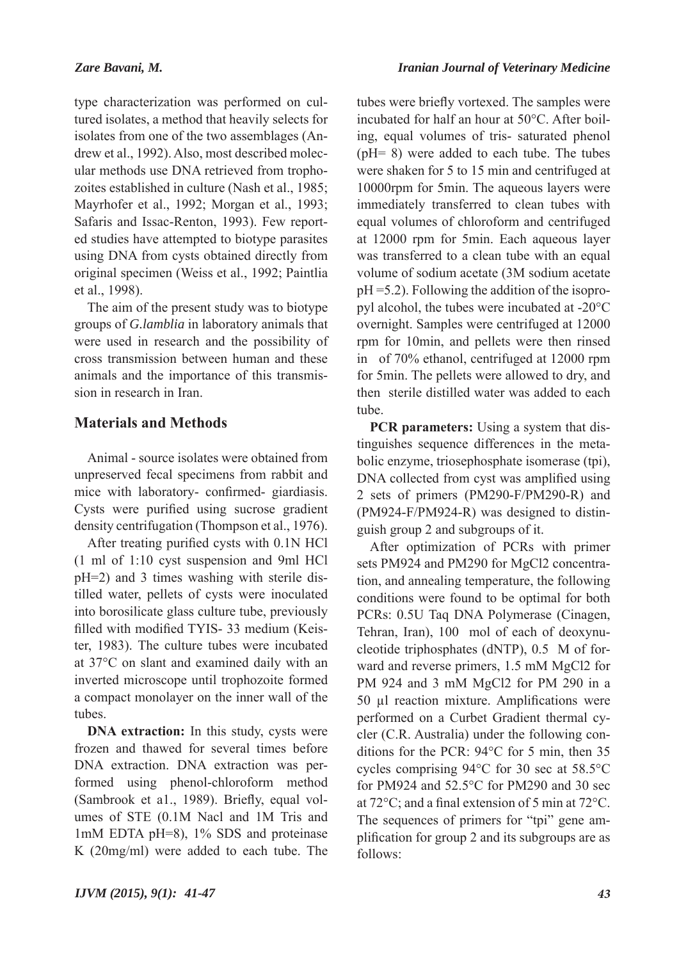type characterization was performed on cultured isolates, a method that heavily selects for isolates from one of the two assemblages (Andrew et al., 1992). Also, most described molecular methods use DNA retrieved from trophozoites established in culture (Nash et al., 1985; Mayrhofer et al., 1992; Morgan et al., 1993; Safaris and Issac-Renton, 1993). Few reported studies have attempted to biotype parasites using DNA from cysts obtained directly from original specimen (Weiss et al., 1992; Paintlia et al., 1998).

The aim of the present study was to biotype groups of *G.lamblia* in laboratory animals that were used in research and the possibility of cross transmission between human and these animals and the importance of this transmission in research in Iran.

## **Materials and Methods**

Animal - source isolates were obtained from unpreserved fecal specimens from rabbit and mice with laboratory- confirmed- giardiasis. Cysts were purified using sucrose gradient density centrifugation (Thompson et al., 1976).

After treating purified cysts with 0.1N HCl (1 ml of 1:10 cyst suspension and 9ml HCl pH=2) and 3 times washing with sterile distilled water, pellets of cysts were inoculated into borosilicate glass culture tube, previously filled with modified TYIS- 33 medium (Keister, 1983). The culture tubes were incubated at 37°C on slant and examined daily with an inverted microscope until trophozoite formed a compact monolayer on the inner wall of the tubes.

**DNA extraction:** In this study, cysts were frozen and thawed for several times before DNA extraction. DNA extraction was performed using phenol-chloroform method (Sambrook et a1., 1989). Briefly, equal volumes of STE (0.1M Nacl and 1M Tris and 1mM EDTA pH=8), 1% SDS and proteinase K (20mg/ml) were added to each tube. The

tubes were briefly vortexed. The samples were incubated for half an hour at 50°C. After boiling, equal volumes of tris- saturated phenol (pH= 8) were added to each tube. The tubes were shaken for 5 to 15 min and centrifuged at 10000rpm for 5min. The aqueous layers were immediately transferred to clean tubes with equal volumes of chloroform and centrifuged at 12000 rpm for 5min. Each aqueous layer was transferred to a clean tube with an equal volume of sodium acetate (3M sodium acetate pH =5.2). Following the addition of the isopropyl alcohol, the tubes were incubated at -20°C overnight. Samples were centrifuged at 12000 rpm for 10min, and pellets were then rinsed in of 70% ethanol, centrifuged at 12000 rpm for 5min. The pellets were allowed to dry, and then sterile distilled water was added to each tube.

**PCR** parameters: Using a system that distinguishes sequence differences in the metabolic enzyme, triosephosphate isomerase (tpi), DNA collected from cyst was amplified using 2 sets of primers (PM290-F/PM290-R) and (PM924-F/PM924-R) was designed to distinguish group 2 and subgroups of it.

After optimization of PCRs with primer sets PM924 and PM290 for MgCl2 concentration, and annealing temperature, the following conditions were found to be optimal for both PCRs: 0.5U Taq DNA Polymerase (Cinagen, Tehran, Iran), 100 mol of each of deoxynucleotide triphosphates (dNTP), 0.5 M of forward and reverse primers, 1.5 mM MgCl2 for PM 924 and 3 mM MgCl2 for PM 290 in a 50 μl reaction mixture. Amplifications were performed on a Curbet Gradient thermal cycler (C.R. Australia) under the following conditions for the PCR: 94°C for 5 min, then 35 cycles comprising 94°C for 30 sec at 58.5°C for PM924 and 52.5°C for PM290 and 30 sec at 72°C; and a final extension of 5 min at 72°C. The sequences of primers for "tpi" gene amplification for group 2 and its subgroups are as follows: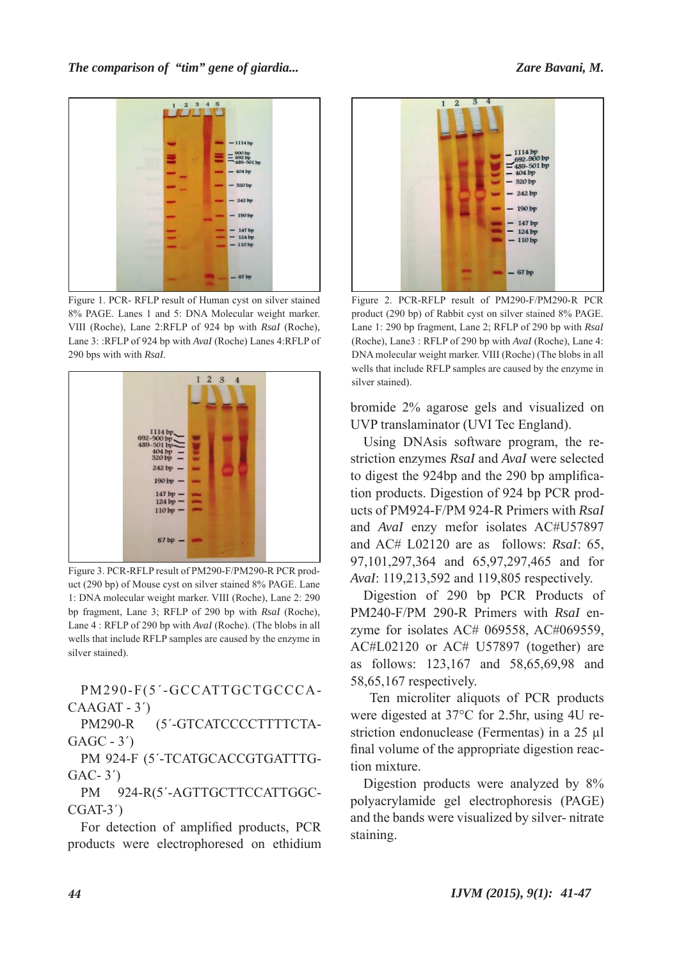

Figure 1. PCR- RFLP result of Human cyst on silver stained 8% PAGE. Lanes 1 and 5: DNA Molecular weight marker. VIII (Roche), Lane 2:RFLP of 924 bp with *RsaI* (Roche), Lane 3: :RFLP of 924 bp with *AvaI* (Roche) Lanes 4:RFLP of 290 bps with with *RsaI*.



Figure 3. PCR-RFLP result of PM290-F/PM290-R PCR product (290 bp) of Mouse cyst on silver stained 8% PAGE. Lane 1: DNA molecular weight marker. VIII (Roche), Lane 2: 290 bp fragment, Lane 3; RFLP of 290 bp with *RsaI* (Roche), Lane 4 : RFLP of 290 bp with *AvaI* (Roche). (The blobs in all wells that include RFLP samples are caused by the enzyme in silver stained).

PM290-F(5΄-GCCATTGCTGCCCA-CAAGAT - 3΄)

PM290-R (5'-GTCATCCCCTTTTCTA-GAGC - 3΄)

PM 924-F (5'-TCATGCACCGTGATTTG-GAC- 3΄)

PM 924-R(5'-AGTTGCTTCCATTGGC-CGAT-3΄)

For detection of amplified products, PCR products were electrophoresed on ethidium



Figure 2. PCR-RFLP result of PM290-F/PM290-R PCR product (290 bp) of Rabbit cyst on silver stained 8% PAGE. Lane 1: 290 bp fragment, Lane 2; RFLP of 290 bp with *RsaI*  (Roche), Lane3 : RFLP of 290 bp with *AvaI* (Roche), Lane 4: DNA molecular weight marker. VIII (Roche) (The blobs in all wells that include RFLP samples are caused by the enzyme in silver stained).

bromide 2% agarose gels and visualized on UVP translaminator (UVI Tec England).

Using DNAsis software program, the restriction enzymes *RsaI* and *AvaI* were selected to digest the 924bp and the 290 bp amplification products. Digestion of 924 bp PCR products of PM924-F/PM 924-R Primers with *RsaI* and *AvaI* enzy mefor isolates AC#U57897 and AC# L02120 are as follows: *RsaI*: 65, 97,101,297,364 and 65,97,297,465 and for *AvaI*: 119,213,592 and 119,805 respectively.

Digestion of 290 bp PCR Products of PM240-F/PM 290-R Primers with *RsaI* enzyme for isolates AC# 069558, AC#069559, AC#L02120 or AC# U57897 (together) are as follows: 123,167 and 58,65,69,98 and 58,65,167 respectively.

 Ten microliter aliquots of PCR products were digested at 37°C for 2.5hr, using 4U restriction endonuclease (Fermentas) in a 25 μl final volume of the appropriate digestion reaction mixture.

Digestion products were analyzed by 8% polyacrylamide gel electrophoresis (PAGE) and the bands were visualized by silver- nitrate staining.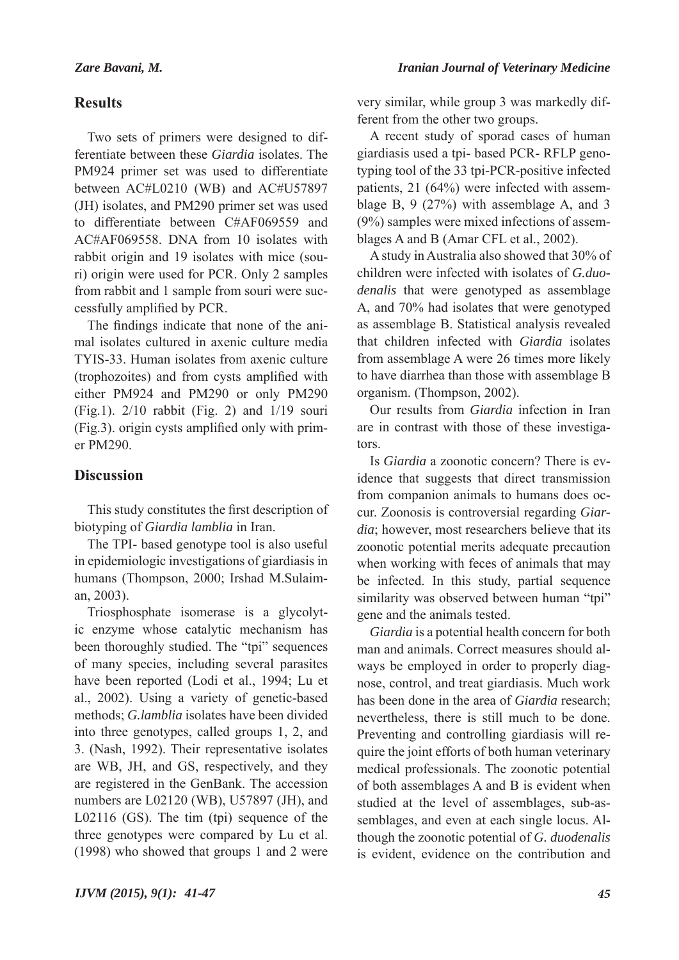#### *Iranian Journal of Veterinary Medicine*

## **Results**

Two sets of primers were designed to differentiate between these *Giardia* isolates. The PM924 primer set was used to differentiate between AC#L0210 (WB) and AC#U57897 (JH) isolates, and PM290 primer set was used to differentiate between C#AF069559 and AC#AF069558. DNA from 10 isolates with rabbit origin and 19 isolates with mice (souri) origin were used for PCR. Only 2 samples from rabbit and 1 sample from souri were successfully amplified by PCR.

The findings indicate that none of the animal isolates cultured in axenic culture media TYIS-33. Human isolates from axenic culture (trophozoites) and from cysts amplified with either PM924 and PM290 or only PM290 (Fig.1). 2/10 rabbit (Fig. 2) and 1/19 souri (Fig.3). origin cysts amplified only with primer PM290.

## **Discussion**

This study constitutes the first description of biotyping of *Giardia lamblia* in Iran.

The TPI- based genotype tool is also useful in epidemiologic investigations of giardiasis in humans (Thompson, 2000; Irshad M.Sulaiman, 2003).

Triosphosphate isomerase is a glycolytic enzyme whose catalytic mechanism has been thoroughly studied. The "tpi" sequences of many species, including several parasites have been reported (Lodi et al., 1994; Lu et al., 2002). Using a variety of genetic-based methods; *G.lamblia* isolates have been divided into three genotypes, called groups 1, 2, and 3. (Nash, 1992). Their representative isolates are WB, JH, and GS, respectively, and they are registered in the GenBank. The accession numbers are L02120 (WB), U57897 (JH), and L02116 (GS). The tim (tpi) sequence of the three genotypes were compared by Lu et al. (1998) who showed that groups 1 and 2 were

very similar, while group 3 was markedly different from the other two groups.

A recent study of sporad cases of human giardiasis used a tpi- based PCR- RFLP genotyping tool of the 33 tpi-PCR-positive infected patients, 21 (64%) were infected with assemblage B, 9 (27%) with assemblage A, and 3 (9%) samples were mixed infections of assemblages A and B (Amar CFL et al., 2002).

A study in Australia also showed that 30% of children were infected with isolates of *G.duodenalis* that were genotyped as assemblage A, and 70% had isolates that were genotyped as assemblage B. Statistical analysis revealed that children infected with *Giardia* isolates from assemblage A were 26 times more likely to have diarrhea than those with assemblage B organism. (Thompson, 2002).

Our results from *Giardia* infection in Iran are in contrast with those of these investigators.

Is *Giardia* a zoonotic concern? There is evidence that suggests that direct transmission from companion animals to humans does occur. Zoonosis is controversial regarding *Giardia*; however, most researchers believe that its zoonotic potential merits adequate precaution when working with feces of animals that may be infected. In this study, partial sequence similarity was observed between human "tpi" gene and the animals tested.

*Giardia* is a potential health concern for both man and animals. Correct measures should always be employed in order to properly diagnose, control, and treat giardiasis. Much work has been done in the area of *Giardia* research; nevertheless, there is still much to be done. Preventing and controlling giardiasis will require the joint efforts of both human veterinary medical professionals. The zoonotic potential of both assemblages A and B is evident when studied at the level of assemblages, sub-assemblages, and even at each single locus. Although the zoonotic potential of *G. duodenalis*  is evident, evidence on the contribution and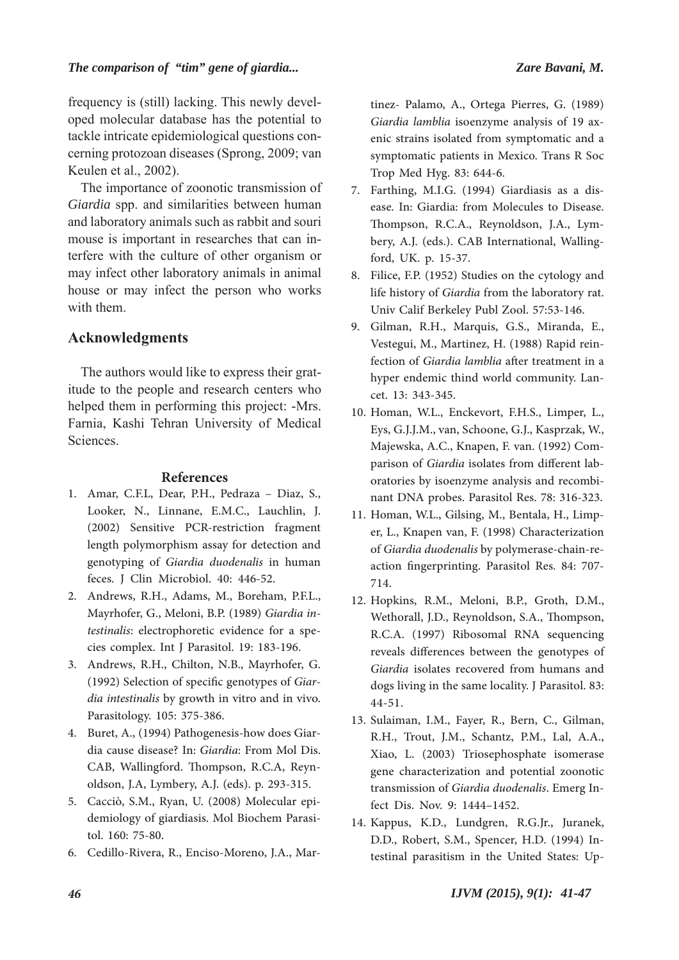### *The comparison of "tim" gene of giardia... Zare Bavani, M.*

frequency is (still) lacking. This newly developed molecular database has the potential to tackle intricate epidemiological questions concerning protozoan diseases (Sprong, 2009; van Keulen et al., 2002).

The importance of zoonotic transmission of *Giardia* spp. and similarities between human and laboratory animals such as rabbit and souri mouse is important in researches that can interfere with the culture of other organism or may infect other laboratory animals in animal house or may infect the person who works with them.

### **Acknowledgments**

The authors would like to express their gratitude to the people and research centers who helped them in performing this project: -Mrs. Farnia, Kashi Tehran University of Medical Sciences.

#### **References**

- Amar, C.F.L, Dear, P.H., Pedraza Diaz, S., 1. Looker, N., Linnane, E.M.C., Lauchlin, J. (2002) Sensitive PCR-restriction fragment length polymorphism assay for detection and genotyping of *Giardia duodenalis* in human feces. J Clin Microbiol. 40: 446-52.
- 2. Andrews, R.H., Adams, M., Boreham, P.F.L., Mayrhofer, G., Meloni, B.P. (1989) *Giardia intestinalis*: electrophoretic evidence for a species complex. Int J Parasitol. 19: 183-196.
- Andrews, R.H., Chilton, N.B., Mayrhofer, G. 3. (1992) Selection of specific genotypes of *Giardia intestinalis* by growth in vitro and in vivo. Parasitology. 105: 375-386.
- 4. Buret, A., (1994) Pathogenesis-how does Giardia cause disease? In: *Giardia*: From Mol Dis. CAB, Wallingford. Thompson, R.C.A, Reynoldson, J.A, Lymbery, A.J. (eds). p. 293-315.
- 5. Cacciò, S.M., Ryan, U. (2008) Molecular epidemiology of giardiasis. Mol Biochem Parasitol. 160: 75-80.
- 6. Cedillo-Rivera, R., Enciso-Moreno, J.A., Mar-

tinez- Palamo, A., Ortega Pierres, G. (1989) *Giardia lamblia* isoenzyme analysis of 19 axenic strains isolated from symptomatic and a symptomatic patients in Mexico. Trans R Soc Trop Med Hyg. 83: 644-6.

- Farthing, M.I.G. (1994) Giardiasis as a dis-7. ease. In: Giardia: from Molecules to Disease. Thompson, R.C.A., Reynoldson, J.A., Lymbery, A.J. (eds.). CAB International, Wallingford, UK. p. 15-37.
- 8. Filice, F.P. (1952) Studies on the cytology and life history of *Giardia* from the laboratory rat. Univ Calif Berkeley Publ Zool. 57:53-146.
- Gilman, R.H., Marquis, G.S., Miranda, E., 9. Vestegui, M., Martinez, H. (1988) Rapid reinfection of *Giardia lamblia* after treatment in a hyper endemic thind world community. Lancet. 13: 343-345.
- 10. Homan, W.L., Enckevort, F.H.S., Limper, L., Eys, G.J.J.M., van, Schoone, G.J., Kasprzak, W., Majewska, A.C., Knapen, F. van. (1992) Comparison of *Giardia* isolates from different laboratories by isoenzyme analysis and recombinant DNA probes. Parasitol Res. 78: 316-323.
- 11. Homan, W.L., Gilsing, M., Bentala, H., Limper, L., Knapen van, F. (1998) Characterization of *Giardia duodenalis* by polymerase-chain-reaction fingerprinting. Parasitol Res. 84: 707- 714.
- 12. Hopkins, R.M., Meloni, B.P., Groth, D.M., Wethorall, J.D., Reynoldson, S.A., Thompson, R.C.A. (1997) Ribosomal RNA sequencing reveals differences between the genotypes of *Giardia* isolates recovered from humans and dogs living in the same locality. J Parasitol. 83: 44-51.
- 13. Sulaiman, I.M., Fayer, R., Bern, C., Gilman, R.H., Trout, J.M., Schantz, P.M., Lal, A.A., Xiao, L. (2003) Triosephosphate isomerase gene characterization and potential zoonotic transmission of *Giardia duodenalis*. Emerg Infect Dis. Nov. 9: 1444–1452.
- 14. Kappus, K.D., Lundgren, R.G.Jr., Juranek, D.D., Robert, S.M., Spencer, H.D. (1994) Intestinal parasitism in the United States: Up-